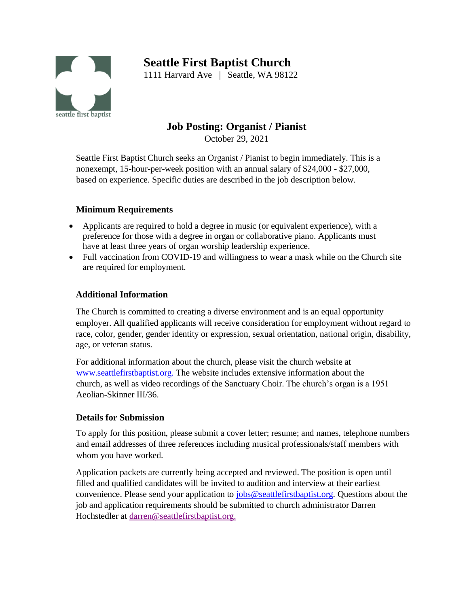# **Seattle First Baptist Church**



1111 Harvard Ave | Seattle, WA 98122

# **Job Posting: Organist / Pianist**

October 29, 2021

Seattle First Baptist Church seeks an Organist / Pianist to begin immediately. This is a nonexempt, 15-hour-per-week position with an annual salary of \$24,000 - \$27,000, based on experience. Specific duties are described in the job description below.

# **Minimum Requirements**

- Applicants are required to hold a degree in music (or equivalent experience), with a preference for those with a degree in organ or collaborative piano. Applicants must have at least three years of organ worship leadership experience.
- Full vaccination from COVID-19 and willingness to wear a mask while on the Church site are required for employment.

# **Additional Information**

The Church is committed to creating a diverse environment and is an equal opportunity employer. All qualified applicants will receive consideration for employment without regard to race, color, gender, gender identity or expression, sexual orientation, national origin, disability, age, or veteran status.

For additional information about the church, please visit the church website at [www.seattlefirstbaptist.org.](http://www.seattlefirstbaptist.org/) The website includes extensive information about the church, as well as video recordings of the Sanctuary Choir. The church's organ is a 1951 Aeolian-Skinner III/36.

### **Details for Submission**

To apply for this position, please submit a cover letter; resume; and names, telephone numbers and email addresses of three references including musical professionals/staff members with whom you have worked.

Application packets are currently being accepted and reviewed. The position is open until filled and qualified candidates will be invited to audition and interview at their earliest convenience. Please send your [application to](mailto:jobs@seattlefirstbaptist.org) [jobs@seattlefirstbaptist.org. Q](mailto:jobs@seattlefirstbaptist.org)uestions about the job and application requirements should be submitted to church administrator Darren Hochstedler at [darren@seattlefirstbaptist.org.](mailto:darren@seattlefirstbaptist.org)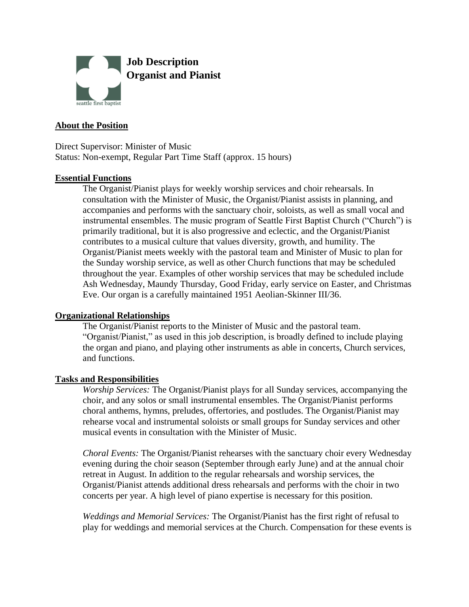

#### **About the Position**

Direct Supervisor: Minister of Music Status: Non-exempt, Regular Part Time Staff (approx. 15 hours)

#### **Essential Functions**

The Organist/Pianist plays for weekly worship services and choir rehearsals. In consultation with the Minister of Music, the Organist/Pianist assists in planning, and accompanies and performs with the sanctuary choir, soloists, as well as small vocal and instrumental ensembles. The music program of Seattle First Baptist Church ("Church") is primarily traditional, but it is also progressive and eclectic, and the Organist/Pianist contributes to a musical culture that values diversity, growth, and humility. The Organist/Pianist meets weekly with the pastoral team and Minister of Music to plan for the Sunday worship service, as well as other Church functions that may be scheduled throughout the year. Examples of other worship services that may be scheduled include Ash Wednesday, Maundy Thursday, Good Friday, early service on Easter, and Christmas Eve. Our organ is a carefully maintained 1951 Aeolian-Skinner III/36.

#### **Organizational Relationships**

The Organist/Pianist reports to the Minister of Music and the pastoral team. "Organist/Pianist," as used in this job description, is broadly defined to include playing the organ and piano, and playing other instruments as able in concerts, Church services, and functions.

#### **Tasks and Responsibilities**

*Worship Services:* The Organist/Pianist plays for all Sunday services, accompanying the choir, and any solos or small instrumental ensembles. The Organist/Pianist performs choral anthems, hymns, preludes, offertories, and postludes. The Organist/Pianist may rehearse vocal and instrumental soloists or small groups for Sunday services and other musical events in consultation with the Minister of Music.

*Choral Events:* The Organist/Pianist rehearses with the sanctuary choir every Wednesday evening during the choir season (September through early June) and at the annual choir retreat in August. In addition to the regular rehearsals and worship services, the Organist/Pianist attends additional dress rehearsals and performs with the choir in two concerts per year. A high level of piano expertise is necessary for this position.

*Weddings and Memorial Services:* The Organist/Pianist has the first right of refusal to play for weddings and memorial services at the Church. Compensation for these events is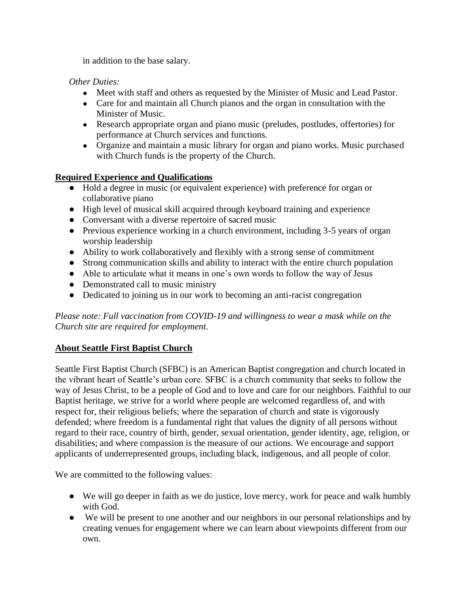in addition to the base salary.

*Other Duties:* 

- Meet with staff and others as requested by the Minister of Music and Lead Pastor.
- Care for and maintain all Church pianos and the organ in consultation with the Minister of Music.
- Research appropriate organ and piano music (preludes, postludes, offertories) for performance at Church services and functions.
- Organize and maintain a music library for organ and piano works. Music purchased with Church funds is the property of the Church.

# **Required Experience and Qualifications**

- Hold a degree in music (or equivalent experience) with preference for organ or collaborative piano
- High level of musical skill acquired through keyboard training and experience
- Conversant with a diverse repertoire of sacred music
- Previous experience working in a church environment, including 3-5 years of organ worship leadership
- Ability to work collaboratively and flexibly with a strong sense of commitment
- Strong communication skills and ability to interact with the entire church population
- Able to articulate what it means in one's own words to follow the way of Jesus
- Demonstrated call to music ministry
- Dedicated to joining us in our work to becoming an anti-racist congregation

*Please note: Full vaccination from COVID-19 and willingness to wear a mask while on the Church site are required for employment.*

# **About Seattle First Baptist Church**

Seattle First Baptist Church (SFBC) is an American Baptist congregation and church located in the vibrant heart of Seattle's urban core. SFBC is a church community that seeks to follow the way of Jesus Christ, to be a people of God and to love and care for our neighbors. Faithful to our Baptist heritage, we strive for a world where people are welcomed regardless of, and with respect for, their religious beliefs; where the separation of church and state is vigorously defended; where freedom is a fundamental right that values the dignity of all persons without regard to their race, country of birth, gender, sexual orientation, gender identity, age, religion, or disabilities; and where compassion is the measure of our actions. We encourage and support applicants of underrepresented groups, including black, indigenous, and all people of color.

We are committed to the following values:

- We will go deeper in faith as we do justice, love mercy, work for peace and walk humbly with God.
- We will be present to one another and our neighbors in our personal relationships and by creating venues for engagement where we can learn about viewpoints different from our own.